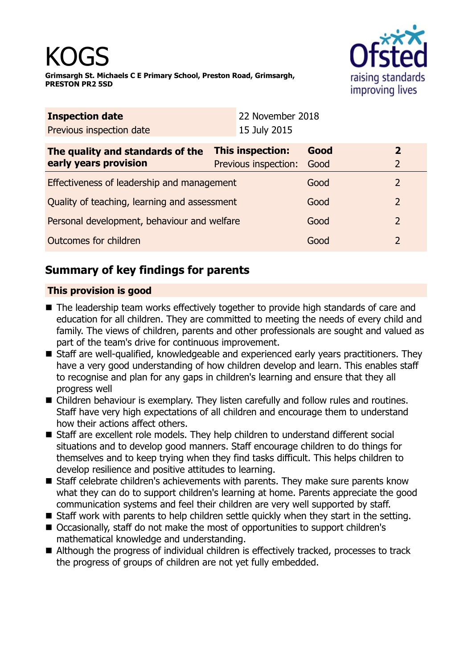

|                                              | 22 November 2018 |                                                          |                                  |  |
|----------------------------------------------|------------------|----------------------------------------------------------|----------------------------------|--|
|                                              |                  |                                                          |                                  |  |
|                                              |                  | Good<br>Good                                             | $\overline{2}$<br>$\overline{2}$ |  |
| Effectiveness of leadership and management   |                  | Good                                                     | 2                                |  |
| Quality of teaching, learning and assessment |                  | Good                                                     | $\overline{2}$                   |  |
| Personal development, behaviour and welfare  |                  | Good                                                     | $\overline{2}$                   |  |
| Outcomes for children                        |                  | Good                                                     | 2                                |  |
|                                              |                  | 15 July 2015<br>This inspection:<br>Previous inspection: |                                  |  |

# **Summary of key findings for parents**

## **This provision is good**

- The leadership team works effectively together to provide high standards of care and education for all children. They are committed to meeting the needs of every child and family. The views of children, parents and other professionals are sought and valued as part of the team's drive for continuous improvement.
- Staff are well-qualified, knowledgeable and experienced early years practitioners. They have a very good understanding of how children develop and learn. This enables staff to recognise and plan for any gaps in children's learning and ensure that they all progress well
- Children behaviour is exemplary. They listen carefully and follow rules and routines. Staff have very high expectations of all children and encourage them to understand how their actions affect others.
- Staff are excellent role models. They help children to understand different social situations and to develop good manners. Staff encourage children to do things for themselves and to keep trying when they find tasks difficult. This helps children to develop resilience and positive attitudes to learning.
- Staff celebrate children's achievements with parents. They make sure parents know what they can do to support children's learning at home. Parents appreciate the good communication systems and feel their children are very well supported by staff.
- $\blacksquare$  Staff work with parents to help children settle quickly when they start in the setting.
- Occasionally, staff do not make the most of opportunities to support children's mathematical knowledge and understanding.
- Although the progress of individual children is effectively tracked, processes to track the progress of groups of children are not yet fully embedded.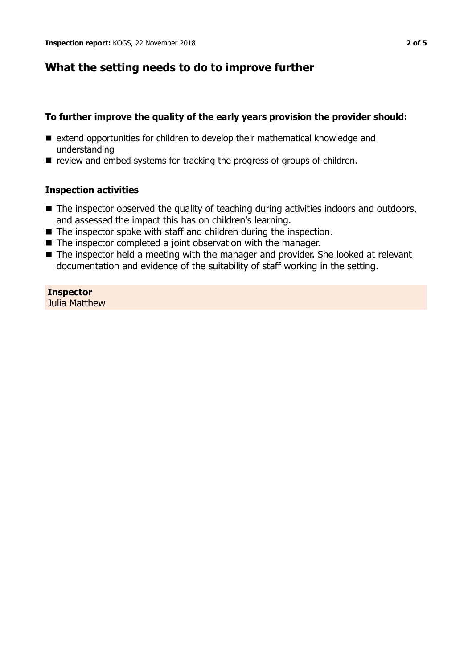## **What the setting needs to do to improve further**

#### **To further improve the quality of the early years provision the provider should:**

- $\blacksquare$  extend opportunities for children to develop their mathematical knowledge and understanding
- $\blacksquare$  review and embed systems for tracking the progress of groups of children.

### **Inspection activities**

- The inspector observed the quality of teaching during activities indoors and outdoors, and assessed the impact this has on children's learning.
- $\blacksquare$  The inspector spoke with staff and children during the inspection.
- $\blacksquare$  The inspector completed a joint observation with the manager.
- The inspector held a meeting with the manager and provider. She looked at relevant documentation and evidence of the suitability of staff working in the setting.

**Inspector** Julia Matthew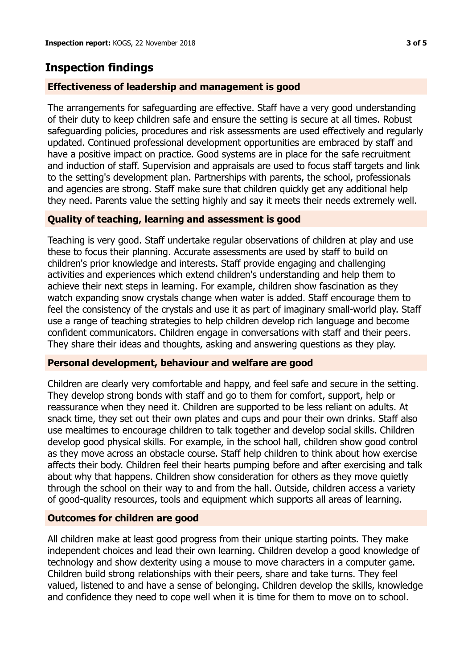# **Inspection findings**

### **Effectiveness of leadership and management is good**

The arrangements for safeguarding are effective. Staff have a very good understanding of their duty to keep children safe and ensure the setting is secure at all times. Robust safeguarding policies, procedures and risk assessments are used effectively and regularly updated. Continued professional development opportunities are embraced by staff and have a positive impact on practice. Good systems are in place for the safe recruitment and induction of staff. Supervision and appraisals are used to focus staff targets and link to the setting's development plan. Partnerships with parents, the school, professionals and agencies are strong. Staff make sure that children quickly get any additional help they need. Parents value the setting highly and say it meets their needs extremely well.

### **Quality of teaching, learning and assessment is good**

Teaching is very good. Staff undertake regular observations of children at play and use these to focus their planning. Accurate assessments are used by staff to build on children's prior knowledge and interests. Staff provide engaging and challenging activities and experiences which extend children's understanding and help them to achieve their next steps in learning. For example, children show fascination as they watch expanding snow crystals change when water is added. Staff encourage them to feel the consistency of the crystals and use it as part of imaginary small-world play. Staff use a range of teaching strategies to help children develop rich language and become confident communicators. Children engage in conversations with staff and their peers. They share their ideas and thoughts, asking and answering questions as they play.

#### **Personal development, behaviour and welfare are good**

Children are clearly very comfortable and happy, and feel safe and secure in the setting. They develop strong bonds with staff and go to them for comfort, support, help or reassurance when they need it. Children are supported to be less reliant on adults. At snack time, they set out their own plates and cups and pour their own drinks. Staff also use mealtimes to encourage children to talk together and develop social skills. Children develop good physical skills. For example, in the school hall, children show good control as they move across an obstacle course. Staff help children to think about how exercise affects their body. Children feel their hearts pumping before and after exercising and talk about why that happens. Children show consideration for others as they move quietly through the school on their way to and from the hall. Outside, children access a variety of good-quality resources, tools and equipment which supports all areas of learning.

#### **Outcomes for children are good**

All children make at least good progress from their unique starting points. They make independent choices and lead their own learning. Children develop a good knowledge of technology and show dexterity using a mouse to move characters in a computer game. Children build strong relationships with their peers, share and take turns. They feel valued, listened to and have a sense of belonging. Children develop the skills, knowledge and confidence they need to cope well when it is time for them to move on to school.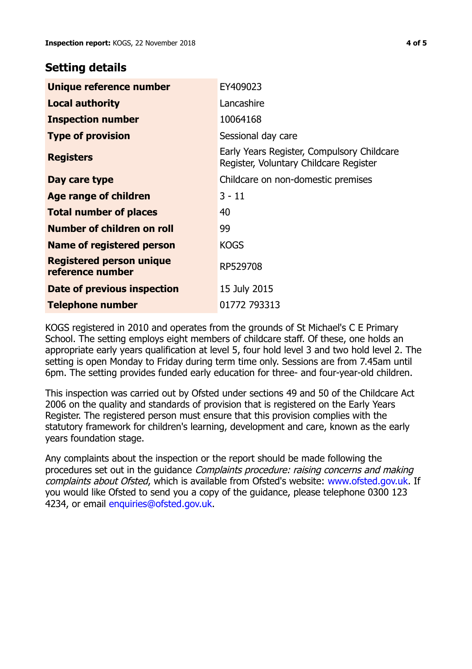## **Setting details**

| Unique reference number                             | EY409023                                                                             |
|-----------------------------------------------------|--------------------------------------------------------------------------------------|
| <b>Local authority</b>                              | Lancashire                                                                           |
| <b>Inspection number</b>                            | 10064168                                                                             |
| <b>Type of provision</b>                            | Sessional day care                                                                   |
| <b>Registers</b>                                    | Early Years Register, Compulsory Childcare<br>Register, Voluntary Childcare Register |
| Day care type                                       | Childcare on non-domestic premises                                                   |
| <b>Age range of children</b>                        | $3 - 11$                                                                             |
| <b>Total number of places</b>                       | 40                                                                                   |
| Number of children on roll                          | 99                                                                                   |
| Name of registered person                           | <b>KOGS</b>                                                                          |
| <b>Registered person unique</b><br>reference number | RP529708                                                                             |
| Date of previous inspection                         | 15 July 2015                                                                         |
| Telephone number                                    | 01772 793313                                                                         |

KOGS registered in 2010 and operates from the grounds of St Michael's C E Primary School. The setting employs eight members of childcare staff. Of these, one holds an appropriate early years qualification at level 5, four hold level 3 and two hold level 2. The setting is open Monday to Friday during term time only. Sessions are from 7.45am until 6pm. The setting provides funded early education for three- and four-year-old children.

This inspection was carried out by Ofsted under sections 49 and 50 of the Childcare Act 2006 on the quality and standards of provision that is registered on the Early Years Register. The registered person must ensure that this provision complies with the statutory framework for children's learning, development and care, known as the early years foundation stage.

Any complaints about the inspection or the report should be made following the procedures set out in the guidance Complaints procedure: raising concerns and making complaints about Ofsted, which is available from Ofsted's website: www.ofsted.gov.uk. If you would like Ofsted to send you a copy of the guidance, please telephone 0300 123 4234, or email [enquiries@ofsted.gov.uk.](mailto:enquiries@ofsted.gov.uk)